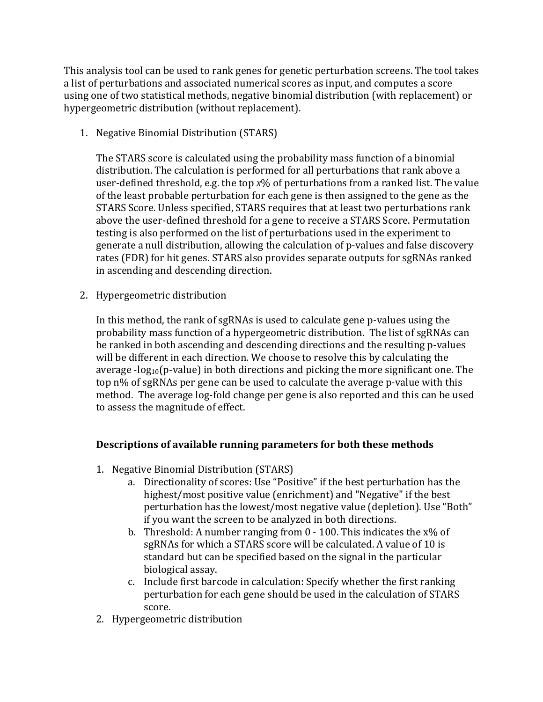This analysis tool can be used to rank genes for genetic perturbation screens. The tool takes a list of perturbations and associated numerical scores as input, and computes a score using one of two statistical methods, negative binomial distribution (with replacement) or hypergeometric distribution (without replacement).

1. Negative Binomial Distribution (STARS)

The STARS score is calculated using the probability mass function of a binomial distribution. The calculation is performed for all perturbations that rank above a user-defined threshold, e.g. the top  $x\%$  of perturbations from a ranked list. The value of the least probable perturbation for each gene is then assigned to the gene as the STARS Score. Unless specified, STARS requires that at least two perturbations rank above the user-defined threshold for a gene to receive a STARS Score. Permutation testing is also performed on the list of perturbations used in the experiment to generate a null distribution, allowing the calculation of p-values and false discovery rates (FDR) for hit genes. STARS also provides separate outputs for sgRNAs ranked in ascending and descending direction.

2. Hypergeometric distribution

In this method, the rank of sgRNAs is used to calculate gene p-values using the probability mass function of a hypergeometric distribution. The list of sgRNAs can be ranked in both ascending and descending directions and the resulting p-values will be different in each direction. We choose to resolve this by calculating the average -log<sub>10</sub>(p-value) in both directions and picking the more significant one. The top n% of sgRNAs per gene can be used to calculate the average p-value with this method. The average log-fold change per gene is also reported and this can be used to assess the magnitude of effect.

## **Descriptions of available running parameters for both these methods**

- 1. Negative Binomial Distribution (STARS)
	- a. Directionality of scores: Use "Positive" if the best perturbation has the highest/most positive value (enrichment) and "Negative" if the best perturbation has the lowest/most negative value (depletion). Use "Both" if you want the screen to be analyzed in both directions.
	- b. Threshold: A number ranging from  $0 100$ . This indicates the x% of sgRNAs for which a STARS score will be calculated. A value of 10 is standard but can be specified based on the signal in the particular biological assay.
	- c. Include first barcode in calculation: Specify whether the first ranking perturbation for each gene should be used in the calculation of STARS score.
- 2. Hypergeometric distribution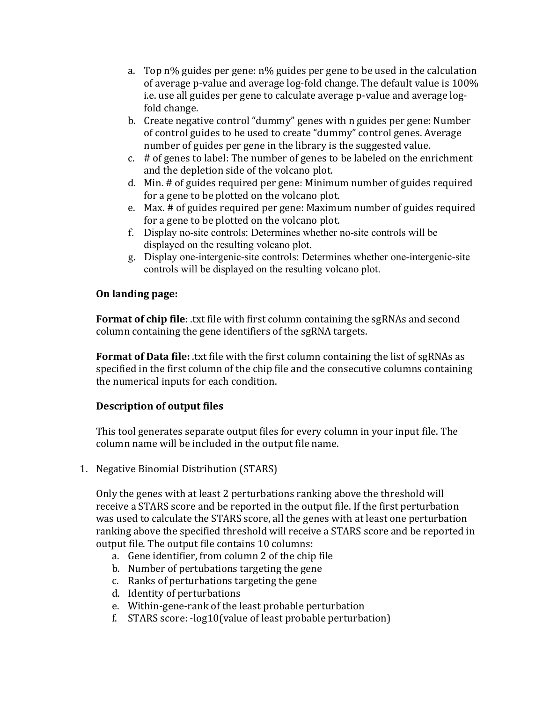- a. Top n% guides per gene: n% guides per gene to be used in the calculation of average p-value and average log-fold change. The default value is 100% i.e. use all guides per gene to calculate average p-value and average logfold change.
- b. Create negative control "dummy" genes with n guides per gene: Number of control guides to be used to create "dummy" control genes. Average number of guides per gene in the library is the suggested value.
- c.  $#$  of genes to label: The number of genes to be labeled on the enrichment and the depletion side of the volcano plot.
- d. Min. # of guides required per gene: Minimum number of guides required for a gene to be plotted on the volcano plot.
- e. Max. # of guides required per gene: Maximum number of guides required for a gene to be plotted on the volcano plot.
- f. Display no-site controls: Determines whether no-site controls will be displayed on the resulting volcano plot.
- g. Display one-intergenic-site controls: Determines whether one-intergenic-site controls will be displayed on the resulting volcano plot.

## **On landing page:**

**Format of chip file**: .txt file with first column containing the sgRNAs and second column containing the gene identifiers of the sgRNA targets.

**Format of Data file:** .txt file with the first column containing the list of sgRNAs as specified in the first column of the chip file and the consecutive columns containing the numerical inputs for each condition.

## **Description of output files**

This tool generates separate output files for every column in your input file. The column name will be included in the output file name.

1. Negative Binomial Distribution (STARS)

Only the genes with at least 2 perturbations ranking above the threshold will receive a STARS score and be reported in the output file. If the first perturbation was used to calculate the STARS score, all the genes with at least one perturbation ranking above the specified threshold will receive a STARS score and be reported in output file. The output file contains 10 columns:

- a. Gene identifier, from column 2 of the chip file
- b. Number of pertubations targeting the gene
- c. Ranks of perturbations targeting the gene
- d. Identity of perturbations
- e. Within-gene-rank of the least probable perturbation
- f. STARS score: -log10(value of least probable perturbation)